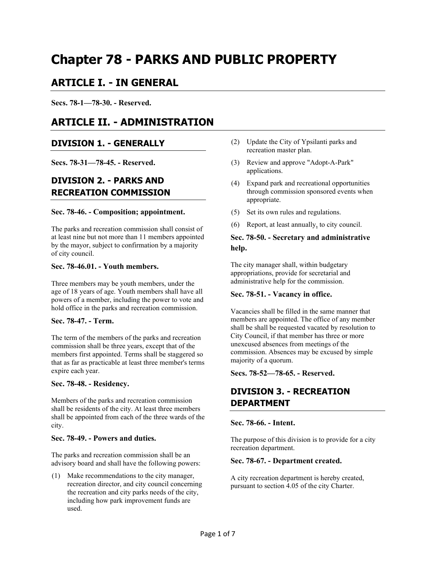# **Chapter 78 - PARKS AND PUBLIC PROPERTY**

### **ARTICLE I. - IN GENERAL**

**Secs. 78-1—78-30. - Reserved.** 

## **ARTICLE II. - ADMINISTRATION**

#### **DIVISION 1. - GENERALLY**

**Secs. 78-31—78-45. - Reserved.** 

### **DIVISION 2. - PARKS AND RECREATION COMMISSION**

#### **Sec. 78-46. - Composition; appointment.**

The parks and recreation commission shall consist of at least nine but not more than 11 members appointed by the mayor, subject to confirmation by a majority of city council.

#### **Sec. 78-46.01. - Youth members.**

Three members may be youth members, under the age of 18 years of age. Youth members shall have all powers of a member, including the power to vote and hold office in the parks and recreation commission.

#### **Sec. 78-47. - Term.**

The term of the members of the parks and recreation commission shall be three years, except that of the members first appointed. Terms shall be staggered so that as far as practicable at least three member's terms expire each year.

#### **Sec. 78-48. - Residency.**

Members of the parks and recreation commission shall be residents of the city. At least three members shall be appointed from each of the three wards of the city.

#### **Sec. 78-49. - Powers and duties.**

The parks and recreation commission shall be an advisory board and shall have the following powers:

(1) Make recommendations to the city manager, recreation director, and city council concerning the recreation and city parks needs of the city, including how park improvement funds are used.

- (2) Update the City of Ypsilanti parks and recreation master plan.
- (3) Review and approve "Adopt-A-Park" applications.
- (4) Expand park and recreational opportunities through commission sponsored events when appropriate.
- (5) Set its own rules and regulations.
- (6) Report, at least annually, to city council.

#### **Sec. 78-50. - Secretary and administrative help.**

The city manager shall, within budgetary appropriations, provide for secretarial and administrative help for the commission.

#### **Sec. 78-51. - Vacancy in office.**

Vacancies shall be filled in the same manner that members are appointed. The office of any member shall be shall be requested vacated by resolution to City Council, if that member has three or more unexcused absences from meetings of the commission. Absences may be excused by simple majority of a quorum.

**Secs. 78-52—78-65. - Reserved.** 

### **DIVISION 3. - RECREATION DEPARTMENT**

#### **Sec. 78-66. - Intent.**

The purpose of this division is to provide for a city recreation department.

#### **Sec. 78-67. - Department created.**

A city recreation department is hereby created, pursuant to section 4.05 of the city Charter.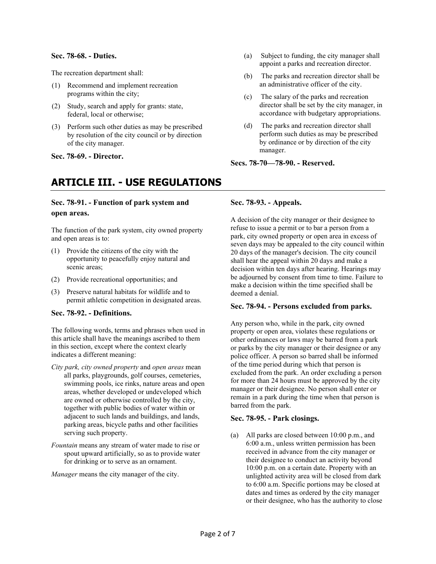#### **Sec. 78-68. - Duties.**

The recreation department shall:

- (1) Recommend and implement recreation programs within the city;
- (2) Study, search and apply for grants: state, federal, local or otherwise;
- (3) Perform such other duties as may be prescribed by resolution of the city council or by direction of the city manager.

**Sec. 78-69. - Director.** 

### **ARTICLE III. - USE REGULATIONS**

#### **Sec. 78-91. - Function of park system and open areas.**

The function of the park system, city owned property and open areas is to:

- (1) Provide the citizens of the city with the opportunity to peacefully enjoy natural and scenic areas;
- (2) Provide recreational opportunities; and
- (3) Preserve natural habitats for wildlife and to permit athletic competition in designated areas.

#### **Sec. 78-92. - Definitions.**

The following words, terms and phrases when used in this article shall have the meanings ascribed to them in this section, except where the context clearly indicates a different meaning:

- *City park, city owned property* and *open areas* mean all parks, playgrounds, golf courses, cemeteries, swimming pools, ice rinks, nature areas and open areas, whether developed or undeveloped which are owned or otherwise controlled by the city, together with public bodies of water within or adjacent to such lands and buildings, and lands, parking areas, bicycle paths and other facilities serving such property.
- *Fountain* means any stream of water made to rise or spout upward artificially, so as to provide water for drinking or to serve as an ornament.

*Manager* means the city manager of the city.

- (a) Subject to funding, the city manager shall appoint a parks and recreation director.
- (b) The parks and recreation director shall be an administrative officer of the city.
- (c) The salary of the parks and recreation director shall be set by the city manager, in accordance with budgetary appropriations.
- (d) The parks and recreation director shall perform such duties as may be prescribed by ordinance or by direction of the city manager.

#### **Secs. 78-70—78-90. - Reserved.**

#### **Sec. 78-93. - Appeals.**

A decision of the city manager or their designee to refuse to issue a permit or to bar a person from a park, city owned property or open area in excess of seven days may be appealed to the city council within 20 days of the manager's decision. The city council shall hear the appeal within 20 days and make a decision within ten days after hearing. Hearings may be adjourned by consent from time to time. Failure to make a decision within the time specified shall be deemed a denial.

#### **Sec. 78-94. - Persons excluded from parks.**

Any person who, while in the park, city owned property or open area, violates these regulations or other ordinances or laws may be barred from a park or parks by the city manager or their designee or any police officer. A person so barred shall be informed of the time period during which that person is excluded from the park. An order excluding a person for more than 24 hours must be approved by the city manager or their designee. No person shall enter or remain in a park during the time when that person is barred from the park.

#### **Sec. 78-95. - Park closings.**

(a) All parks are closed between 10:00 p.m., and 6:00 a.m., unless written permission has been received in advance from the city manager or their designee to conduct an activity beyond 10:00 p.m. on a certain date. Property with an unlighted activity area will be closed from dark to 6:00 a.m. Specific portions may be closed at dates and times as ordered by the city manager or their designee, who has the authority to close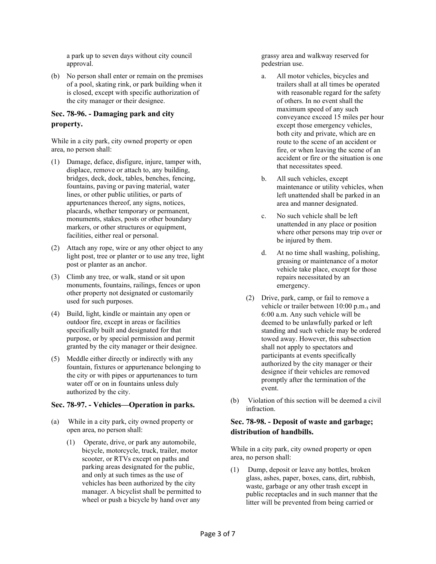a park up to seven days without city council approval.

(b) No person shall enter or remain on the premises of a pool, skating rink, or park building when it is closed, except with specific authorization of the city manager or their designee.

#### **Sec. 78-96. - Damaging park and city property.**

While in a city park, city owned property or open area, no person shall:

- (1) Damage, deface, disfigure, injure, tamper with, displace, remove or attach to, any building, bridges, deck, dock, tables, benches, fencing, fountains, paving or paving material, water lines, or other public utilities, or parts of appurtenances thereof, any signs, notices, placards, whether temporary or permanent, monuments, stakes, posts or other boundary markers, or other structures or equipment, facilities, either real or personal.
- (2) Attach any rope, wire or any other object to any light post, tree or planter or to use any tree, light post or planter as an anchor.
- (3) Climb any tree, or walk, stand or sit upon monuments, fountains, railings, fences or upon other property not designated or customarily used for such purposes.
- (4) Build, light, kindle or maintain any open or outdoor fire, except in areas or facilities specifically built and designated for that purpose, or by special permission and permit granted by the city manager or their designee.
- (5) Meddle either directly or indirectly with any fountain, fixtures or appurtenance belonging to the city or with pipes or appurtenances to turn water off or on in fountains unless duly authorized by the city.

#### **Sec. 78-97. - Vehicles—Operation in parks.**

- (a) While in a city park, city owned property or open area, no person shall:
	- (1) Operate, drive, or park any automobile, bicycle, motorcycle, truck, trailer, motor scooter, or RTVs except on paths and parking areas designated for the public, and only at such times as the use of vehicles has been authorized by the city manager. A bicyclist shall be permitted to wheel or push a bicycle by hand over any

grassy area and walkway reserved for pedestrian use.

- a. All motor vehicles, bicycles and trailers shall at all times be operated with reasonable regard for the safety of others. In no event shall the maximum speed of any such conveyance exceed 15 miles per hour except those emergency vehicles, both city and private, which are en route to the scene of an accident or fire, or when leaving the scene of an accident or fire or the situation is one that necessitates speed.
- b. All such vehicles, except maintenance or utility vehicles, when left unattended shall be parked in an area and manner designated.
- c. No such vehicle shall be left unattended in any place or position where other persons may trip over or be injured by them.
- d. At no time shall washing, polishing, greasing or maintenance of a motor vehicle take place, except for those repairs necessitated by an emergency.
- (2) Drive, park, camp, or fail to remove a vehicle or trailer between 10:00 p.m., and 6:00 a.m. Any such vehicle will be deemed to be unlawfully parked or left standing and such vehicle may be ordered towed away. However, this subsection shall not apply to spectators and participants at events specifically authorized by the city manager or their designee if their vehicles are removed promptly after the termination of the event.
- (b) Violation of this section will be deemed a civil infraction.

#### **Sec. 78-98. - Deposit of waste and garbage; distribution of handbills.**

While in a city park, city owned property or open area, no person shall:

(1) Dump, deposit or leave any bottles, broken glass, ashes, paper, boxes, cans, dirt, rubbish, waste, garbage or any other trash except in public receptacles and in such manner that the litter will be prevented from being carried or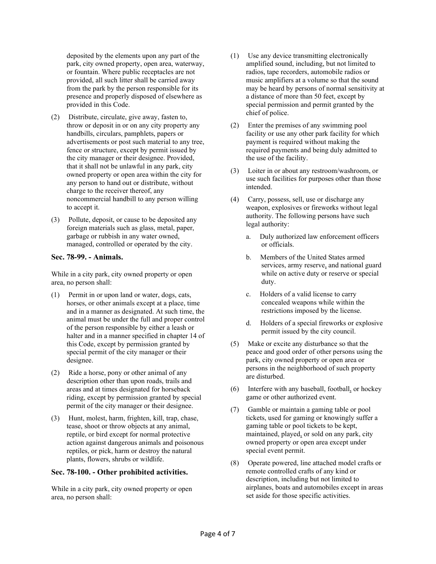deposited by the elements upon any part of the park, city owned property, open area, waterway, or fountain. Where public receptacles are not provided, all such litter shall be carried away from the park by the person responsible for its presence and properly disposed of elsewhere as provided in this Code.

- (2) Distribute, circulate, give away, fasten to, throw or deposit in or on any city property any handbills, circulars, pamphlets, papers or advertisements or post such material to any tree, fence or structure, except by permit issued by the city manager or their designee. Provided, that it shall not be unlawful in any park, city owned property or open area within the city for any person to hand out or distribute, without charge to the receiver thereof, any noncommercial handbill to any person willing to accept it.
- (3) Pollute, deposit, or cause to be deposited any foreign materials such as glass, metal, paper, garbage or rubbish in any water owned, managed, controlled or operated by the city.

#### **Sec. 78-99. - Animals.**

While in a city park, city owned property or open area, no person shall:

- (1) Permit in or upon land or water, dogs, cats, horses, or other animals except at a place, time and in a manner as designated. At such time, the animal must be under the full and proper control of the person responsible by either a leash or halter and in a manner specified in chapter 14 of this Code, except by permission granted by special permit of the city manager or their designee.
- (2) Ride a horse, pony or other animal of any description other than upon roads, trails and areas and at times designated for horseback riding, except by permission granted by special permit of the city manager or their designee.
- (3) Hunt, molest, harm, frighten, kill, trap, chase, tease, shoot or throw objects at any animal, reptile, or bird except for normal protective action against dangerous animals and poisonous reptiles, or pick, harm or destroy the natural plants, flowers, shrubs or wildlife.

#### **Sec. 78-100. - Other prohibited activities.**

While in a city park, city owned property or open area, no person shall:

- (1) Use any device transmitting electronically amplified sound, including, but not limited to radios, tape recorders, automobile radios or music amplifiers at a volume so that the sound may be heard by persons of normal sensitivity at a distance of more than 50 feet, except by special permission and permit granted by the chief of police.
- (2) Enter the premises of any swimming pool facility or use any other park facility for which payment is required without making the required payments and being duly admitted to the use of the facility.
- (3) Loiter in or about any restroom/washroom, or use such facilities for purposes other than those intended.
- (4) Carry, possess, sell, use or discharge any weapon, explosives or fireworks without legal authority. The following persons have such legal authority:
	- a. Duly authorized law enforcement officers or officials.
	- b. Members of the United States armed services, army reserve, and national guard while on active duty or reserve or special duty.
	- c. Holders of a valid license to carry concealed weapons while within the restrictions imposed by the license.
	- d. Holders of a special fireworks or explosive permit issued by the city council.
- (5) Make or excite any disturbance so that the peace and good order of other persons using the park, city owned property or open area or persons in the neighborhood of such property are disturbed.
- (6) Interfere with any baseball, football, or hockey game or other authorized event.
- (7) Gamble or maintain a gaming table or pool tickets, used for gaming or knowingly suffer a gaming table or pool tickets to be kept, maintained, played, or sold on any park, city owned property or open area except under special event permit.
- (8) Operate powered, line attached model crafts or remote controlled crafts of any kind or description, including but not limited to airplanes, boats and automobiles except in areas set aside for those specific activities.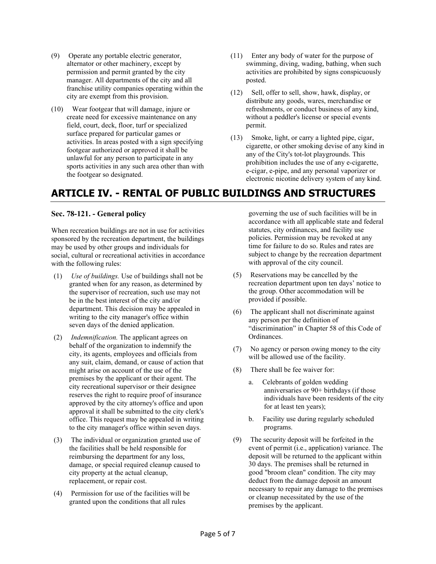- (9) Operate any portable electric generator, alternator or other machinery, except by permission and permit granted by the city manager. All departments of the city and all franchise utility companies operating within the city are exempt from this provision.
- (10) Wear footgear that will damage, injure or create need for excessive maintenance on any field, court, deck, floor, turf or specialized surface prepared for particular games or activities. In areas posted with a sign specifying footgear authorized or approved it shall be unlawful for any person to participate in any sports activities in any such area other than with the footgear so designated.
- (11) Enter any body of water for the purpose of swimming, diving, wading, bathing, when such activities are prohibited by signs conspicuously posted.
- (12) Sell, offer to sell, show, hawk, display, or distribute any goods, wares, merchandise or refreshments, or conduct business of any kind, without a peddler's license or special events permit.
- (13) Smoke, light, or carry a lighted pipe, cigar, cigarette, or other smoking devise of any kind in any of the City's tot-lot playgrounds. This prohibition includes the use of any e-cigarette, e-cigar, e-pipe, and any personal vaporizer or electronic nicotine delivery system of any kind.

# **ARTICLE IV. - RENTAL OF PUBLIC BUILDINGS AND STRUCTURES**

#### **Sec. 78-121. - General policy**

When recreation buildings are not in use for activities sponsored by the recreation department, the buildings may be used by other groups and individuals for social, cultural or recreational activities in accordance with the following rules:

- (1) *Use of buildings.* Use of buildings shall not be granted when for any reason, as determined by the supervisor of recreation, such use may not be in the best interest of the city and/or department. This decision may be appealed in writing to the city manager's office within seven days of the denied application.
- (2) *Indemnification.* The applicant agrees on behalf of the organization to indemnify the city, its agents, employees and officials from any suit, claim, demand, or cause of action that might arise on account of the use of the premises by the applicant or their agent. The city recreational supervisor or their designee reserves the right to require proof of insurance approved by the city attorney's office and upon approval it shall be submitted to the city clerk's office. This request may be appealed in writing to the city manager's office within seven days.
- (3) The individual or organization granted use of the facilities shall be held responsible for reimbursing the department for any loss, damage, or special required cleanup caused to city property at the actual cleanup, replacement, or repair cost.
- (4) Permission for use of the facilities will be granted upon the conditions that all rules

governing the use of such facilities will be in accordance with all applicable state and federal statutes, city ordinances, and facility use policies. Permission may be revoked at any time for failure to do so. Rules and rates are subject to change by the recreation department with approval of the city council.

- (5) Reservations may be cancelled by the recreation department upon ten days' notice to the group. Other accommodation will be provided if possible.
- (6) The applicant shall not discriminate against any person per the definition of "discrimination" in Chapter 58 of this Code of Ordinances.
- (7) No agency or person owing money to the city will be allowed use of the facility.
- (8) There shall be fee waiver for:
	- a. Celebrants of golden wedding anniversaries or 90+ birthdays (if those individuals have been residents of the city for at least ten years);
	- b. Facility use during regularly scheduled programs.
- (9) The security deposit will be forfeited in the event of permit (i.e., application) variance. The deposit will be returned to the applicant within 30 days. The premises shall be returned in good "broom clean" condition. The city may deduct from the damage deposit an amount necessary to repair any damage to the premises or cleanup necessitated by the use of the premises by the applicant.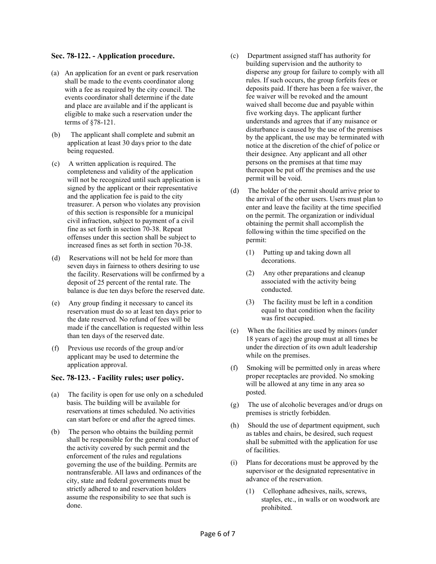#### **Sec. 78-122. - Application procedure.**

- (a) An application for an event or park reservation shall be made to the events coordinator along with a fee as required by the city council. The events coordinator shall determine if the date and place are available and if the applicant is eligible to make such a reservation under the terms of §78-121.
- (b) The applicant shall complete and submit an application at least 30 days prior to the date being requested.
- (c) A written application is required. The completeness and validity of the application will not be recognized until such application is signed by the applicant or their representative and the application fee is paid to the city treasurer. A person who violates any provision of this section is responsible for a municipal civil infraction, subject to payment of a civil fine as set forth in section 70-38. Repeat offenses under this section shall be subject to increased fines as set forth in section 70-38.
- (d) Reservations will not be held for more than seven days in fairness to others desiring to use the facility. Reservations will be confirmed by a deposit of 25 percent of the rental rate. The balance is due ten days before the reserved date.
- (e) Any group finding it necessary to cancel its reservation must do so at least ten days prior to the date reserved. No refund of fees will be made if the cancellation is requested within less than ten days of the reserved date.
- (f) Previous use records of the group and/or applicant may be used to determine the application approval.

#### **Sec. 78-123. - Facility rules; user policy.**

- (a) The facility is open for use only on a scheduled basis. The building will be available for reservations at times scheduled. No activities can start before or end after the agreed times.
- (b) The person who obtains the building permit shall be responsible for the general conduct of the activity covered by such permit and the enforcement of the rules and regulations governing the use of the building. Permits are nontransferable. All laws and ordinances of the city, state and federal governments must be strictly adhered to and reservation holders assume the responsibility to see that such is done.
- (c) Department assigned staff has authority for building supervision and the authority to disperse any group for failure to comply with all rules. If such occurs, the group forfeits fees or deposits paid. If there has been a fee waiver, the fee waiver will be revoked and the amount waived shall become due and payable within five working days. The applicant further understands and agrees that if any nuisance or disturbance is caused by the use of the premises by the applicant, the use may be terminated with notice at the discretion of the chief of police or their designee. Any applicant and all other persons on the premises at that time may thereupon be put off the premises and the use permit will be void.
- (d) The holder of the permit should arrive prior to the arrival of the other users. Users must plan to enter and leave the facility at the time specified on the permit. The organization or individual obtaining the permit shall accomplish the following within the time specified on the permit:
	- (1) Putting up and taking down all decorations.
	- (2) Any other preparations and cleanup associated with the activity being conducted.
	- (3) The facility must be left in a condition equal to that condition when the facility was first occupied.
- (e) When the facilities are used by minors (under 18 years of age) the group must at all times be under the direction of its own adult leadership while on the premises.
- (f) Smoking will be permitted only in areas where proper receptacles are provided. No smoking will be allowed at any time in any area so posted.
- (g) The use of alcoholic beverages and/or drugs on premises is strictly forbidden.
- (h) Should the use of department equipment, such as tables and chairs, be desired, such request shall be submitted with the application for use of facilities.
- (i) Plans for decorations must be approved by the supervisor or the designated representative in advance of the reservation.
	- (1) Cellophane adhesives, nails, screws, staples, etc., in walls or on woodwork are prohibited.